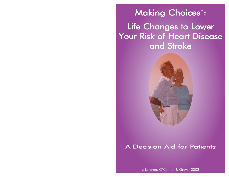# Making Choices<sup>™</sup>: Life Changes to Lower Your Risk of Heart Disease and Stroke



### A Decision Aid for Patients

© Lalonde, O'Connor & Grover 2002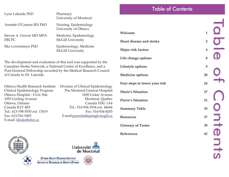| Lyne Lalonde PhD                        | Pharmacy<br>University of Montreal                 |
|-----------------------------------------|----------------------------------------------------|
| Annette O'Connor RN PhD                 | Nursing, Epidemiology<br>University of Ottawa      |
| Steven A. Grover MD MPA<br><b>FRCPC</b> | Medicine, Epidemiology<br><b>McGill University</b> |
| Ilka Lowensteyn PhD                     | Epidemiology, Medicine<br><b>McGill University</b> |

The development and evaluation of this tool was supported by the Canadian Stroke Network, a National Centre of Excellence, and a Post-Doctoral Fellowship awarded by the Medical Research Council of Canada to Dr. Lalonde.

Ottawa Health Research Institute Clinical Epidemiology Program Ottawa Hospital - Civic Site 1053 Carling Avenue Ottawa, Ontario Canada K1Y 4E9 Tel.: 613-798-5555 ext. 17619 Fax: 613-761-5492 E-mail: [ldrake@ohri.ca](mailto:ldrake@ohri.ca)

| Division of Clinical Epidemiology |
|-----------------------------------|
| The Montreal General Hospital     |
| 1650 Cedar Avenue                 |
| Montreal, Quebec                  |
| Canada H3G 1A4                    |
| Tel.: 514-934-1934 ext. 44644     |
| Fax: 514-934-8293                 |
| E-mail:pierrette@epimgh.mcgill.ca |
|                                   |

| Welcome                       | $\mathbf{1}$            |
|-------------------------------|-------------------------|
| Heart disease and stroke      | $\overline{2}$          |
| Major risk factors            | $\overline{\mathbf{4}}$ |
| Life change options           | 8                       |
| Lifestyle options             | 9                       |
| <b>Medicine options</b>       | 20                      |
| Four steps to lower your risk | 24                      |
| <b>Marie's Situation</b>      | 27                      |
| <b>Pierre's Situation</b>     | 31                      |
| <b>Summary Table</b>          | 35                      |
| <b>Resources</b>              | 37                      |
| <b>Glossary of Terms</b>      | 39                      |
| References                    | 42                      |

Table of Contents

Table of Contents able of Contents

**SLUIS** 





**OTTAWA HEALTH RESEARCH INSTITUTE INSTITUT DE RECHERCHE EN SANTÉ D'OTTAWA** 

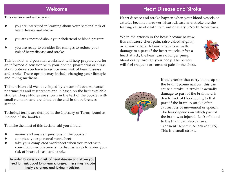### Welcome

This decision aid is for you if:

- O you are interested in learning about your personal risk of heart disease and stroke
- O you are concerned about your cholesterol or blood pressure
- O you are ready to consider life changes to reduce your risk of heart disease and stroke

This booklet and personal worksheet will help prepare you for an informed discussion with your doctor, pharmacist or nurse about options you have to reduce your risk of heart disease and stroke. These options may include changing your lifestyle and taking medicine.

This decision aid was developed by a team of doctors, nurses, pharmacists and researchers and is based on the best available studies. These studies are shown in the text of the booklet with small numbers and are listed at the end in the references section.

Technical terms are defined in the Glossary of Terms found at the end of the booklet.

To make the most of this decision aid you should:

- O review and answer questions in the booklet
- O complete your personal worksheet

1

O take your completed worksheet when you meet with your doctor or pharmacist to discuss ways to lower your risk of heart disease and stroke

In order to lower your risk of heart disease and stroke you need to think about long-term changes. These may include lifestyle changes and taking medicine.

### Heart Disease and Stroke

Heart disease and stroke happen when your blood vessels or arteries become narrower. Heart disease and stroke are the leading cause of death for 1 out of every 3 North Americans.

When the arteries in the heart become narrow, this can cause chest pain, (also called angina), or a heart attack. A heart attack is actually damage to a part of the heart muscle. After a heart attack, the heart can no longer pump blood easily through your body. The person will feel frequent or constant pain in the chest.





If the arteries that carry blood up to the brain become narrow, this can cause a stroke. A stroke is actually damage to part of the brain and is due to lack of blood going to that part of the brain. A stroke often causes loss of movement or speech. The loss depends on which part of the brain was injured. Lack of blood to the brain can also cause a Transient Ischemic Attack (or TIA). This is a small stroke.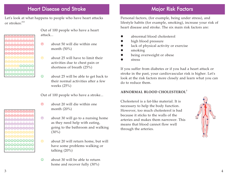#### Heart Disease and Stroke Major Risk Factors

Let's look at what happens to people who have heart attacks or strokes:**1-2**

 $\overline{\circ}$ 00000000 00000000 000000000 ////////// ////////// /////☺☺☺☺☺ ☺☺☺☺☺☺☺☺☺☺ ☺☺☺☺☺☺☺☺☺☺ Out of 100 people who have a heart attack...

- $\otimes$  about 50 will die within one month (50%)
- $\odot$  about 25 will have to limit their activities due to chest pain or shortness of breath (25%)
- ☺ about 25 will be able to get back to their normal activities after a few weeks (25%)

Out of 100 people who have a stroke...

- $\otimes$  about 20 will die within one month (20%)
- $\odot$  about 30 will go to a nursing home as they need help with eating, going to the bathroom and walking  $(30\%)$
- $\circledR$  about 20 will return home, but will have some problems walking or talking (20%)
- $\odot$  about 30 will be able to return home and recover fully (30%)

Personal factors, (for example, being under stress), and lifestyle habits (for example, smoking), increase your risk of heart disease and stroke. The six main risk factors are:

- O abnormal blood cholesterol
- O high blood pressure
- O lack of physical activity or exercise
- O smoking
- O being overweight or obese
- O stress

If you suffer from diabetes or if you had a heart attack or stroke in the past, your cardiovascular risk is higher. Let's look at the risk factors more closely and learn what you can do to reduce them.

#### **ABNORMAL BLOOD CHOLESTEROL***<sup>3</sup>*

Cholesterol is a fat-like material. It is necessary to help the body function. However, too much cholesterol is bad because it sticks to the walls of the arteries and makes them narrower. This means that blood cannot flow well through the arteries.



00000000000 000000000 (B(B(B(B(B)(B)(B) 00000000000 ☺☺☺☺☺☺☺☺☺☺ ☺☺☺☺☺☺☺☺☺☺ ☺☺☺☺☺☺☺☺☺☺

000000000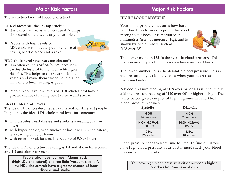### Major Risk Factors

There are two kinds of blood cholesterol.

#### **LDL-cholesterol (the "dump truck")**

- **•** It is called *bad cholesterol* because it "dumps" cholesterol on the walls of your arteries.
- O People with high levels of LDL-cholesterol have a greater chance of having heart disease and stroke.



#### **HDL-cholesterol (the "vacuum cleaner")**

**•** It is often called *good cholesterol* because it carries cholesterol to the liver, which gets rid of it. This helps to clear out the blood vessels and make them wider. So, a higher HDL-cholesterol reading is good.



O People who have low levels of HDL-cholesterol have a greater chance of having heart disease and stroke.

#### **Ideal Cholesterol Levels**

The ideal LDL-cholesterol level is different for different people. In general, the ideal LDL-cholesterol level for someone:

- $\bullet$  with diabetes, heart disease and stroke is a reading of 2.5 or lower
- with hypertension, who smokes or has low HDL-cholesterol, is a reading of 4.0 or lower
- $\bullet$  with no other risk factors, is a reading of 5.0 or lower

The ideal HDL-cholesterol reading is 1.4 and above for women and 1.2 and above for men.

People who have too much "dump truck" (high LDL-cholesterol) and too little "vacuum cleaner", (low HDL-cholesterol) have a greater chance of heart disease and stroke.

## Major Risk Factors

#### **HIGH BLOOD PRESSURE***4-6*

Your blood pressure measures how hard your heart has to work to pump the blood through your body. It is measured in millimetres (mm) of mercury (Hg), and is shown by two numbers, such as "135 over 85".



The higher number, 135, is the **systolic blood pressure**. This is the pressure in your blood vessels when your heart beats.

The lower number, 85, is the **diastolic blood pressure**. This is the pressure in your blood vessels when your heart rests (between beats).

A blood pressure reading of "129 over 84" or less is ideal, while a blood pressure reading of "140 over 90" or higher is high. The tables below give examples of high, high-normal and ideal blood pressure readings.

| Systolic                      | <b>Diastolic</b>            |
|-------------------------------|-----------------------------|
| <b>HIGH</b><br>140 or more    | <b>HIGH</b><br>90 or more   |
| <b>HIGH-NORMAL</b><br>130-139 | <b>HIGH-NORMAL</b><br>85-89 |
| <b>IDEAL</b><br>129 or less   | <b>IDEAL</b><br>84 or less  |

Blood pressure changes from time to time. To find out if you have high blood pressure, your doctor must check your blood pressure on 3 to 5 visits.

> You have high blood pressure if either number is higher than the ideal over several visits.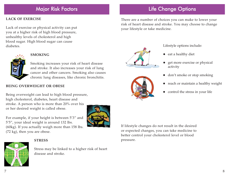### Major Risk Factors

#### **LACK OF EXERCISE**

Lack of exercise or physical activity can put you at a higher risk of high blood pressure, unhealthy levels of cholesterol and high blood sugar. High blood sugar can cause diabetes.



#### **SMOKING**

Smoking increases your risk of heart disease and stroke. It also increases your risk of lung cancer and other cancers. Smoking also causes chronic lung diseases, like chronic bronchitis.

#### **BEING OVERWEIGHT OR OBESE**

Being overweight can lead to high blood pressure, high cholesterol, diabetes, heart disease and stroke. A person who is more than 20% over his or her desired weight is called obese.

For example, if your height is between 5'3" and 5'5", your ideal weight is around 132 lbs. (60kg). If you actually weigh more than 158 lbs. (72 kg), then you are obese.



#### **STRESS**



Stress may be linked to a higher risk of heart disease and stroke.

### Life Change Options

There are a number of choices you can make to lower your risk of heart disease and stroke. You may choose to change your lifestyle or take medicine.





Lifestyle options include:

- $\bullet$  eat a healthy diet
- get more exercise or physical activity
- don't smoke or stop smoking
- reach or maintain a healthy weight
- control the stress in your life

If lifestyle changes do not result in the desired or expected changes, you can take medicine to better control your cholesterol level or blood pressure.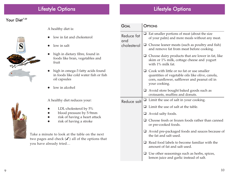## Lifestyle Options

#### Your Diet $^{7-23}$





A healthy diet is:

- low in fat and cholesterol
- $\bullet$  low in salt
- high in dietary fibre, found in foods like bran, vegetables and fruit
- high in omega-3 fatty acids found in foods like cold water fish or fish oil capsules
- $\bullet$  low in alcohol

A healthy diet reduces your:

- LDL-cholesterol by 5%
- blood pressure by 5-9mm
- risk of having a heart attack
- risk of having a stroke

Take a minute to look at the table on the next two pages and check  $(J)$  all of the options that you have already tried…

|                   | <b>GOAL</b> | <b>OPTIONS</b> |                                                                                                                                                                       |  |
|-------------------|-------------|----------------|-----------------------------------------------------------------------------------------------------------------------------------------------------------------------|--|
| Reduce fat<br>and |             | ⊔              | Eat smaller portions of meat (about the size<br>of your palm) and more meals without any meat.                                                                        |  |
|                   | cholesterol | $\Box$         | Choose leaner meats (such as poultry and fish)<br>and remove fat from meat before cooking.                                                                            |  |
|                   |             | ⊔              | Choose dairy products that are lower in fat, like<br>skim or 1% milk, cottage cheese and yogurt<br>with 1% milk fat.                                                  |  |
|                   |             |                | $\Box$ Cook with little or no fat or use smaller<br>quantities of vegetable oils like olive, canola,<br>corn, sunflower, safflower and peanut oil in<br>your cooking. |  |
|                   |             |                | $\Box$ Avoid store bought baked goods such as<br>croissants, muffins and donuts.                                                                                      |  |
|                   | Reduce salt |                | $\Box$ Limit the use of salt in your cooking.                                                                                                                         |  |
|                   |             | ப              | Limit the use of salt at the table.                                                                                                                                   |  |
|                   |             |                | $\Box$ Avoid salty foods.                                                                                                                                             |  |
|                   |             |                | Choose fresh or frozen foods rather than canned<br>or pre-cooked foods.                                                                                               |  |
|                   |             | ❏              | Avoid pre-packaged foods and sauces because of<br>the fat and salt used.                                                                                              |  |
|                   |             | ப              | Read food labels to become familiar with the<br>amount of fat and salt used.                                                                                          |  |
|                   |             |                | $\Box$ Use other seasonings such as herbs, spices,<br>lemon juice and garlic instead of salt.                                                                         |  |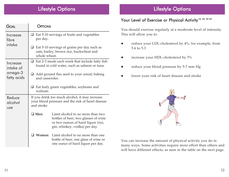| GOAL                            | <b>OPTIONS</b>                                                                                                    |                                                                                                                                                  |  |  |
|---------------------------------|-------------------------------------------------------------------------------------------------------------------|--------------------------------------------------------------------------------------------------------------------------------------------------|--|--|
| Increase<br>fibre               | per day.                                                                                                          | $\Box$ Eat 5-10 servings of fruits and vegetables                                                                                                |  |  |
| intake                          | Eat 5-10 servings of grains per day such as<br>$\Box$<br>oats, barley, brown rice, buckwheat and<br>whole wheat.  |                                                                                                                                                  |  |  |
| Increase<br>intake of           | Eat 2-3 meals each week that include fatty fish<br>u.<br>found in cold water, such as salmon or tuna.             |                                                                                                                                                  |  |  |
| omega-3<br>fatty acids          | Add ground flax seed to your cereal, baking<br>and casseroles.                                                    |                                                                                                                                                  |  |  |
|                                 | Eat leafy green vegetables, soybeans and<br>⊔.<br>walnuts.                                                        |                                                                                                                                                  |  |  |
| Reduce<br>alcohol<br><b>use</b> | If you drink too much alcohol, it may increase<br>your blood pressure and the risk of heart disease<br>and stroke |                                                                                                                                                  |  |  |
|                                 | $\Box$ Men:                                                                                                       | Limit alcohol to no more than two<br>bottles of beer, two glasses of wine<br>or two ounces of hard liquor (rye,<br>gin, whiskey, vodka) per day. |  |  |
|                                 |                                                                                                                   | <b>Women:</b> Limit alcohol to no more than one<br>bottle of beer, one glass of wine or<br>one ounce of hard liquor per day.                     |  |  |

### Lifestyle Options

#### Your Level of Exercise or Physical Activity<sup>15, 24, 29-39</sup>

You should exercise regularly at a moderate level of intensity. This will allow you to:

- reduce your LDL-cholesterol by 4%, for example, from 5.6 to 5.3
- increase your HDL-cholesterol by 5%
- reduce your blood pressure by 5-7 mm Hg
- lower your risk of heart disease and stroke



You can increase the amount of physical activity you do in many ways. Some activities require more effort than others and will have different effects, as seen in the table on the next page.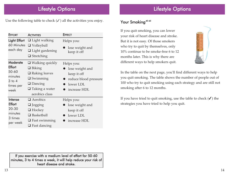Use the following table to check  $(\checkmark)$  all the activities you enjoy.

| <b>EFFORT</b>                                                             | <b>ACTIVITIES</b>                                                                                                                               | <b>EFFECT</b>                                                                                      |
|---------------------------------------------------------------------------|-------------------------------------------------------------------------------------------------------------------------------------------------|----------------------------------------------------------------------------------------------------|
| Light Effort<br>60 Minutes<br>each day                                    | $\Box$ Light walking<br>$\Box$ Volleyball<br>$\Box$ Light gardening<br>$\Box$ Stretching                                                        | Helps you:<br>lose weight and<br>keep it off                                                       |
| Moderate<br>Effort<br>50-60<br>minutes<br>$3$ to $4$<br>times per<br>week | $\Box$ Walking quickly<br>$\Box$ Biking<br>$\Box$ Raking leaves<br>$\Box$ Swimming<br>$\Box$ Dancing<br>$\Box$ Taking a water<br>aerobics class | Helps you:<br>lose weight and<br>keep it off<br>reduce blood pressure<br>lower LDL<br>increase HDL |
| Intense<br><b>Effort</b><br>20-30<br>minutes<br>3 times<br>per week       | $\Box$ Aerobics<br>$\Box$ Jogging<br>$\Box$ Hockey<br>$\Box$ Basketball<br>$\Box$ Fast swimming<br>$\Box$ Fast dancing                          | Helps you:<br>lose weight and<br>keep it off<br>lower LDL<br>increase HDL                          |

### Lifestyle Options

#### Your Smoking<sup>40-45</sup>

If you quit smoking, you can lower your risk of heart disease and stroke. But it is not easy. Of those smokers who try to quit by themselves, only 10% continue to be smoke-free 6 to 12 months later. This is why there are different ways to help smokers quit.



In the table on the next page, you'll find different ways to help you quit smoking. The table shows the number of people out of 100 who try to quit smoking using each strategy and are still not smoking after 6 to 12 months.

If you have tried to quit smoking, use the table to check  $(\checkmark)$  the strategies you have tried to help you quit.

If you exercise with a medium level of effort for 50-60 minutes, 3 to 4 times a week, it will help reduce your risk of heart disease and stroke.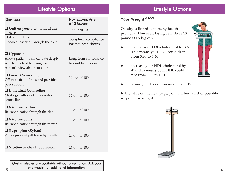| <b>STRATEGIES</b>                                                                                                       | <b>NON-SMOKERS AFTER</b><br>6-12 MONTHS    |
|-------------------------------------------------------------------------------------------------------------------------|--------------------------------------------|
| $\Box$ Quit on your own without any<br>help                                                                             | 10 out of 100                              |
| $\Box$ Acupuncture<br>Needles inserted through the skin                                                                 | Long term compliance<br>has not been shown |
| $\Box$ Hypnosis<br>Allows patient to concentrate deeply,<br>which may lead to change in<br>patient's view about smoking | Long term compliance<br>has not been shown |
| <b>Q</b> Group Counseling<br>Offers tactics and tips and provides<br>peer support                                       | 14 out of 100                              |
| Individual Counseling<br>Meetings with smoking cessation<br>counsellor                                                  | 14 out of 100                              |
| $\Box$ Nicotine patches<br>Release nicotine through the skin                                                            | 16 out of 100                              |
| $\Box$ Nicotine gums<br>Release nicotine through the mouth                                                              | 18 out of 100                              |
| <b>Bupropion (Zyban)</b><br>Antidepressant pill taken by mouth                                                          | 20 out of 100                              |
| $\Box$ Nicotine patches & bupropion                                                                                     | 26 out of 100                              |

Most strategies are available without prescription. Ask your <sup>p</sup>harmacist for additional information.

### Lifestyle Options

#### Your Weight<sup>15, 25-28</sup>

Obesity is linked with many health problems. However, losing as little as 10 pounds (4.5 kg) can:

- reduce your LDL-cholesterol by 3%. This means your LDL could drop from 5.60 to 5.40
- increase your HDL-cholesterol by 4%. This means your HDL could rise from 1.00 to 1.04



lower your blood pressure by 7 to 12 mm Hg

In the table on the next page, you will find a list of possible ways to lose weight.

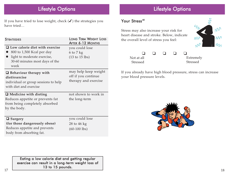Lifestyle Options

If you have tried to lose weight, check  $(\checkmark)$  the strategies you have tried…

| Strategies                                                                                                                                  | <b>LONG TERM WEIGHT LOSS</b><br><b>AFTER 6-12 MONTHS</b>                            |
|---------------------------------------------------------------------------------------------------------------------------------------------|-------------------------------------------------------------------------------------|
| $\Box$ Low calorie diet with exercise<br>800 to 1,500 Kcal per day<br>light to moderate exercise,<br>30-60 minutes most days of the<br>week | you could lose<br>$6 \text{ to } 7 \text{ kg}$<br>$(13 \text{ to } 15 \text{ lbs})$ |
| $\Box$ Behaviour therapy with<br>diet/exercise<br>individual or group sessions to help<br>with diet and exercise                            | may help keep weight<br>off if you continue<br>therapy and exercise                 |
| $\Box$ Medicine with dieting<br>Reduces appetite or prevents fat<br>from being completely absorbed<br>by the body.                          | not shown to work in<br>the long-term                                               |
| $\Box$ Surgery<br>(for those dangerously obese)<br>Reduces appetite and prevents<br>body from absorbing fat.                                | you could lose<br>28 to 46 kg<br>$(60-100$ lbs)                                     |

#### Your Stress<sup>46</sup>

Stress may also increase your risk for heart disease and stroke. Below, indicate the overall level of stress you feel:



| Not at all      |  | Extremely       |
|-----------------|--|-----------------|
| <b>Stressed</b> |  | <b>Stressed</b> |

If you already have high blood pressure, stress can increase your blood pressure levels.



Eating a low calorie diet and getting regular exercise can result in a long-term weight loss of 13 to 15 pounds.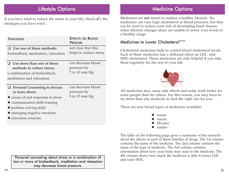If you have tried to reduce the stress in your life, check  $(\checkmark)$  the strategies you have tried …

| <b>STRATEGIES</b>                                                                                                                                                                                                     | <b>EFFECTS ON BLOOD</b><br><b>PRESSURE</b>             |
|-----------------------------------------------------------------------------------------------------------------------------------------------------------------------------------------------------------------------|--------------------------------------------------------|
| $\Box$ Use one of these methods:<br>biofeedback, meditation, relaxation                                                                                                                                               | not clear that this<br>helps to reduce stress          |
| $\Box$ Use more than one of these<br>methods to reduce stress:<br>a combination of biofeedback,<br>meditation and relaxation                                                                                          | can decrease blood<br>pressure by<br>$7$ to 10 mm $Hg$ |
| $\Box$ Personal Counseling to discuss<br>or learn about:<br>• causes of and responses to stress<br>• communication skills training<br>• problem-solving skills<br>managing negative emotions<br>• relaxation/exercise | can decrease blood<br>pressure by<br>9 to 15 mm $Hg$   |

Personal counseling about stress or a combination of two or more of biofeedback, meditation and relaxation may decrease blood pressure.

### Medicine Options

Medicines are **not** meant to replace a healthy lifestyle. No medicines can cure high cholesterol or blood pressure, but they can be used to reduce your risk of developing heart disease when lifestyle changes alone are unable to lower your levels to a healthy range.

#### Medicines to Lower Cholesterol<sup>47-57</sup>

Cholesterol medicines help to control blood cholesterol levels. Each of these medicines has a different effect on LDL- and HDL-cholesterol. These medicines are only helpful if you take them regularly for the rest of your life.



All medicines may cause side effects and some work better for some people than for others. For this reason, you may have to try more than one medicine to find the right one for you.

There are four broad types of medicines available:



The table on the following page gives a summary of the research about the effects of each of these families of drugs. The 1st column contains the name of the medicine. The 2nd column contains the name of the type of medicine. The 3rd column contains information about how your body may react to the medicine. The 4th column shows how much the medicine is able to lower LDL and raise HDL.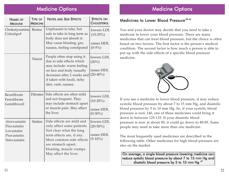#### Medicine Options

| <b>NAMES OF</b><br><b>MEDICINE</b>                                      | <b>TYPE OF</b><br><b>MEDICINE</b> | <b>NOTES AND SIDE EFFECTS</b>                                                                                                                                                                                          | <b>EFFECTS ON</b><br><b>CHOLESTEROL</b>               |
|-------------------------------------------------------------------------|-----------------------------------|------------------------------------------------------------------------------------------------------------------------------------------------------------------------------------------------------------------------|-------------------------------------------------------|
| Cholestyramine<br>Colestipol                                            | <b>Resins</b>                     | Unpleasant to take, but<br>safe to take in long term as<br>body does not absorb it.<br>May cause bloating, gas,<br>nausea, feeling constipated                                                                         | lowers LDL<br>$(15-25%)$<br>raises HDL<br>$(0-5\%)$   |
|                                                                         | Niacin                            | People often stop using it<br>due to side effects which<br>may include: warm feeling<br>on face and body (usually<br>decreases after 2 weeks and<br>if taken with food), itchy<br>skin, rash, nausea.                  | lowers LDL<br>$(20\%)$<br>raises HDL<br>$(20-40\%)$   |
| Bezafibrate<br>Fenofibrate<br>Gemfibrozil                               | Fibrates                          | Side effects are often mild<br>and not frequent. They<br>may include stomach upset<br>or muscle pain. May affect<br>the liver.                                                                                         | lowers LDL<br>$(10-20\%)$<br>raises HDL<br>$(0-30\%)$ |
| Atorvastatin<br>Fluvastatin<br>Lovastatin<br>Pravastatin<br>Simvastatin | <b>Statins</b>                    | Side effects are mild and<br>only affect some patients.<br>Not clear what the long<br>term effects are, if any.<br>Most common side effects<br>are stomach upset,<br>bloating, muscle cramps.<br>May affect the liver. | lowers LDL<br>$(20-50\%)$<br>raises HDL<br>$(5-10\%)$ |

### Medicine Options

#### Medicines to Lower Blood Pressure<sup>58-66</sup>

You and your doctor may decide that you need to take a medicine to lower your blood pressure. There are many medicines that can treat blood pressure, but the choice is often based on two factors. The first factor is the person's medical condition. The second factor is how much a person is able to put up with the side effects of a specific blood pressure medicine.



If you use a medicine to lower blood pressure, it may reduce systolic blood pressure by about 7 to 15 mm Hg, and diastolic blood pressure by 5 to 10 mm Hg. So, if your systolic blood pressure is now 140, one of these medicines could bring it down to between 125-133. If your diastolic blood pressure is now at about 90, it could go down to 80-85. Some people may need to take more than one medicine.

The most frequently used medicines are described in the following table. Other medicines for high blood pressure are also on the market.

On average, a single blood pressure lowering medicine can reduce systolic blood pressure by about 7 to 15 mm Hg and diastolic blood pressure by 5 to 10 mm Hg  $^{67}$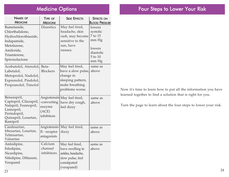### Medicine Options

| <b>NAMES OF</b><br><b>MEDICINE</b>                                                                                                   | <b>TYPE OF</b><br><b>MEDICINE</b>            | <b>SIDE EFFECTS</b>                                                                                          | <b>EFFECTS ON</b><br><b>BLOOD PRESSURE</b>                                        |
|--------------------------------------------------------------------------------------------------------------------------------------|----------------------------------------------|--------------------------------------------------------------------------------------------------------------|-----------------------------------------------------------------------------------|
| Bumetanide,<br>Chlorthalidone,<br>Hydrochlorothiazide,<br>Indapamide,<br>Metolazone,<br>Amiloride,<br>Triamterene,<br>Spironolactone | Diuretics                                    | May feel tired,<br>headache, skin<br>rash, may become<br>sensitive to the<br>sun, have<br>nausea.            | lowers<br>systolic<br>7 to 15<br>mm Hg<br>lowers<br>diastolic<br>5 to 10<br>mm Hg |
| Acebutolol, Atenolol,<br>Labetalol,<br>Metoprolol, Nadolol,<br>Exprenolol, Pindolol,<br>Propranolol, Timolol                         | Beta-<br><b>Blockers</b>                     | May feel tired,<br>have a slow pulse,<br>change in<br>sleeping pattern,<br>make breathing<br>problems worse. | same as<br>above                                                                  |
| Benazepril,<br>Captopril, Cilazapril,<br>Nalapril, Fosinopril,<br>Lisinopril,<br>Perindopril,<br>Quinapril, Losartan,<br>Ramipril    | -converting<br>enzyme<br>(ACE)<br>inhibitors | Angiotensin May feel tired,<br>have dry cough,<br>feel dizzy                                                 | same as<br>above                                                                  |
| Candesartan,<br>Irbesartan, Losartan,<br>Telmisartan,<br>Valsartan                                                                   | II - receptor<br>antagonists                 | Angiotensin- May feel tired,<br>dizzy                                                                        | same as<br>above                                                                  |
| Amlodipine,<br>Felodipine,<br>Nicardipine,<br>Nifedipine, Diltiazem,<br>Verapamil                                                    | Calcium<br>channel<br>inhibitors             | May feel tired,<br>have swelling in<br>ankles, headache,<br>slow pulse, feel<br>constipated<br>(verapamil)   | same as<br>above                                                                  |

Now it's time to learn how to put all the information you have learned together to find a solution that is right for you.

Turn the page to learn about the four steps to lower your risk.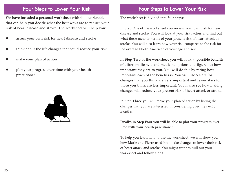#### Four Steps to Lower Your Risk

We have included a personal worksheet with this workbook that can help you decide what the best ways are to reduce your risk of heart disease and stroke. The worksheet will help you:

- O assess your own risk for heart disease and stroke
- O think about the life changes that could reduce your risk
- O make your plan of action
- O plot your progress over time with your health practitioner



#### Four Steps to Lower Your Risk

The worksheet is divided into four steps:

In **Step One** of the worksheet you review your own risk for heart disease and stroke. You will look at your risk factors and find out what these mean in terms of your present risk of heart attack or stroke. You will also learn how your risk compares to the risk for the average North American of your age and sex.

In **Step Two** of the worksheet you will look at possible benefits of different lifestyle and medicine options and figure out how important they are to you. You will do this by rating how important each of the benefits is. You will use 5 stars for changes that you think are very important and fewer stars for those you think are less important. You'll also see how making changes will reduce your present risk of heart attack or stroke.

In **Step Three** you will make your plan of action by listing the changes that you are interested in considering over the next 3 months.

Finally, in **Step Four** you will be able to plot your progress over time with your health practitioner.

To help you learn how to use the worksheet, we will show you how Marie and Pierre used it to make changes to lower their risk of heart attack and stroke. You might want to pull out your worksheet and follow along.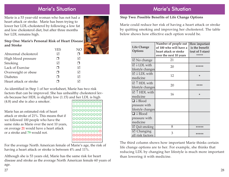#### Marie's Situation

Marie is a 53 year-old woman who has not had a heart attack or stroke. Marie has been trying to lower her LDL-cholesterol by following a low fat and low cholesterol diet, but after three months her LDL remains high.

#### **Step One: Marie's Personal Risk of Heart Disease and Stroke**

|                        | YFS | NM |
|------------------------|-----|----|
| Abnormal cholesterol   | M   |    |
| High blood pressure    |     |    |
| Smoking                | ⋈   |    |
| Lack of Exercise       | - 1 | M  |
| Overweight or obese    |     | M  |
| <b>Diabetes</b>        |     | M  |
| Heart attack or stroke |     |    |

As identified in Step 1 of her worksheet, Marie has two risk factors that can be improved. She has unhealthy cholesterol levels because her HDL is slightly low (1.15) and her LDL is high  $(4.8)$  and she is also a smoker.  $\textcircled{0}$ 

> ☺☺☺☺☺☺☺☺☺☺ ☺☺☺☺☺☺☺☺☺☺ ☺☺☺☺☺☺☺☺☺☺ ☺☺☺☺☺☺☺☺☺☺ ☺☺☺☺☺☺☺☺☺☺ ☺☺☺☺☺☺☺☺☺☺ ☺☺☺☺☺☺☺☺☺ / 000000000 000000000

Marie has an estimated risk of heart attack or stroke of 21%. This means that if we followed 100 people who have the same risks as Marie over the next 10 years, on average **<sup>21</sup>** would have a heart attack or a stroke and **79** would not.

For the average North American female of Marie's age, the risk of having a heart attack or stroke is between 4% and 11%.

Although she is 53 years old, Marie has the same risk for heart disease and stroke as the average North American female 60 years of age.

#### **Step Two: Possible Benefits of Life Change Options**

Marie could reduce her risk of having a heart attack or stroke by quitting smoking and improving her cholesterol. The table below shows how effective each option would be.

| <b>Life Change</b><br>Options                                     | Number of people out<br>of 100 who will have a<br>heart attack or stroke<br>over the next 10 years | How important<br>is the benefit<br>(out of 5 stars)<br>***** |
|-------------------------------------------------------------------|----------------------------------------------------------------------------------------------------|--------------------------------------------------------------|
| $\boxtimes$ No change                                             | 21                                                                                                 |                                                              |
| $\overline{\boxtimes}$ $\downarrow$ LDL with<br>lifestyle changes | 20                                                                                                 | *****                                                        |
| $\boxtimes \downarrow$ LDL with<br>medicine                       | 12                                                                                                 | *                                                            |
| $\sqrt{\ }$ T HDL with<br>lifestyle changes                       | 20                                                                                                 | ****                                                         |
| $\boxtimes$ $\uparrow$ HDL with<br>medicine                       | 16                                                                                                 | *                                                            |
| $\Box \downarrow$ Blood                                           |                                                                                                    |                                                              |
| pressure with<br>lifestyle changes                                |                                                                                                    |                                                              |
| $\Box \downarrow$ Blood<br>pressure with<br>medicine              |                                                                                                    |                                                              |
| $\boxtimes$ Quit smoking                                          | 8                                                                                                  | *****                                                        |
| $\boxtimes$ Changing<br>all risk factors                          | 3                                                                                                  | *****                                                        |

The third column shows how important Marie thinks certain life change options are to her. For example, she thinks that reducing LDL by changing her lifestyle is much more important than lowering it with medicine.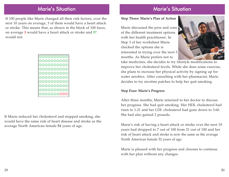### Marie's Situation

If 100 people like Marie changed all their risk factors, over the next 10 years on average, 3 of them would have a heart attack or stroke. This means that, as shown in the block of 100 faces, on average **<sup>3</sup>** would have a heart attack or stroke and **<sup>97</sup>** would not.



If Marie reduced her cholesterol and stopped smoking, she would have the same risk of heart disease and stroke as the average North American female **<sup>51</sup>** years of age.

### Marie's Situation

#### **Step Three: Marie's Plan of Action**

Marie discussed the pros and cons of the different treatment options with her health practitioner. In Step 3 of her worksheet Marie checked the options she is interested in trying over the next 3 months. As Marie prefers not to



take medicines, she decides to try lifestyle modifications to improve her cholesterol levels. While she does some exercise, she plans to increase her physical activity by signing up for water aerobics. After consulting with her pharmacist, Marie decides to try nicotine patches to help her quit smoking.

#### **Step Four: Marie's Progress**

After three months, Marie returned to her doctor to discuss her progress. She had quit smoking. Her HDL cholesterol had risen to 1.21 and her LDL cholesterol had gone down to 3.60. She had also gained 2 pounds.

Marie's risk of having a heart attack or stroke over the next 10 years had dropped to 7 out of 100 from 21 out of 100 and her risk of heart attack and stroke is now the same as the average North American female 52 years of age.

Marie is pleased with her progress and chooses to continue with her plan without any changes.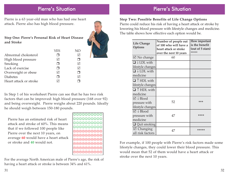#### Pierre's Situation

Pierre is a 63 year-old man who has had one heart attack. Pierre also has high blood pressure.

**Step One: Pierre's Personal Risk of Heart Disease and Stroke**

|                        | <b>YES</b> | NO |
|------------------------|------------|----|
| Abnormal cholesterol   |            | M  |
| High blood pressure    | M          |    |
| Smoking                |            | M  |
| Lack of exercise       | П          | M  |
| Overweight or obese    | M          |    |
| <b>Diabetes</b>        |            | M  |
| Heart attack or stroke |            |    |

In Step 1 of his worksheet Pierre can see that he has two risk factors that can be improved: high blood pressure (168 over 92) and being overweight. Pierre weighs about 220 pounds. Ideally he should weigh between 150-180 pounds.

Pierre has an estimated risk of heart attack and stroke of 60%. This means that if we followed 100 people like Pierre over the next 10 years, on average **<sup>60</sup>** would have a heart attack or stroke and **40** would not.

 $\odot$  $\odot$  $\odot$  $\odot$  $\odot$  $\odot$ ☺☺☺☺☺☺☺☺☺☺ ☺☺☺☺☺☺☺☺☺☺ ☺☺☺☺☺☺☺☺☺☺ //////////  $\oplus$  $\oplus$  $\oplus$  $\oplus$  $\oplus$  $\oplus$  $\oplus$ 000000000 000000000 000000000000 000000000

For the average North American male of Pierre's age, the risk of having a heart attack or stroke is between 34% and 61%.

### Pierre's Situation

#### **Step Two: Possible Benefits of Life Change Options**

Pierre could reduce his risk of having a heart attack or stroke by lowering his blood pressure with lifestyle changes and medicine. The table shows how effective each option would be.

| <b>Life Change</b><br>Options             | Number of people out<br>of 100 who will have a<br>heart attack or stroke<br>over the next 10 years | How important<br>is the benefit<br>(out of 5 stars)<br>***** |
|-------------------------------------------|----------------------------------------------------------------------------------------------------|--------------------------------------------------------------|
| $\boxtimes$ No change                     | 60                                                                                                 |                                                              |
| $\overline{\Box \cup L}$ DL with          |                                                                                                    |                                                              |
| lifestyle changes                         |                                                                                                    |                                                              |
| $\Box$ $\downarrow$ LDL with              |                                                                                                    |                                                              |
| medicine                                  |                                                                                                    |                                                              |
| $\Box$ $\uparrow$ HDL with                |                                                                                                    |                                                              |
| lifestyle changes                         |                                                                                                    |                                                              |
| $\Box$ $\uparrow$ HDL with                |                                                                                                    |                                                              |
| medicine                                  |                                                                                                    |                                                              |
| $\nabla \downarrow$ Blood                 |                                                                                                    |                                                              |
| pressure with                             | 52                                                                                                 | ***                                                          |
| lifestyle changes                         |                                                                                                    |                                                              |
| $\overline{\boxtimes}$ $\downarrow$ Blood |                                                                                                    |                                                              |
| pressure with                             | 47                                                                                                 | ****                                                         |
| medicine                                  |                                                                                                    |                                                              |
| $\Box$ Quit smoking                       |                                                                                                    |                                                              |
| $\boxtimes$ Changing<br>all risk factors  | 47                                                                                                 | *****                                                        |

For example, if 100 people with Pierre's risk factors made some lifestyle changes, they could lower their blood pressure. This would mean that 52 of them would have a heart attack or stroke over the next 10 years.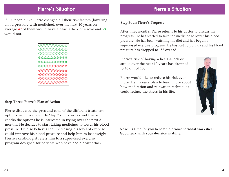#### Pierre's Situation

If 100 people like Pierre changed all their risk factors (lowering blood pressure with medicine), over the next 10 years on average **<sup>47</sup>** of them would have a heart attack or stroke and **<sup>53</sup>** would not.

| $\textcircled{\circ} \textcirc \textcirc \textcirc \textcirc \textcirc \textcirc$ |
|-----------------------------------------------------------------------------------|
| 000000000                                                                         |
| 000000000                                                                         |
| 000000000                                                                         |
| 000000000                                                                         |
| 0000000000                                                                        |
| 0000000000                                                                        |
| 0000000000                                                                        |
| 0000000000                                                                        |
| 0000000000                                                                        |
|                                                                                   |

#### **Step Three: Pierre's Plan of Action**

Pierre discussed the pros and cons of the different treatment options with his doctor. In Step 3 of his worksheet Pierre checks the options he is interested in trying over the next 3 months. He decides to start taking medicines to lower his blood pressure. He also believes that increasing his level of exercise could improve his blood pressure and help him to lose weight. Pierre's cardiologist refers him to a supervised exercise program designed for patients who have had a heart attack.

### Pierre's Situation

#### **Step Four: Pierre's Progress**

After three months, Pierre returns to his doctor to discuss his progress. He has started to take the medicine to lower his blood pressure. He has been watching his diet and has begun a supervised exercise program. He has lost 10 pounds and his blood pressure has dropped to 158 over 88.

Pierre's risk of having a heart attack or stroke over the next 10 years has dropped to 46 out of 100.

Pierre would like to reduce his risk even more. He makes a plan to learn more about how meditation and relaxation techniques could reduce the stress in his life.



**Now it's time for you to complete your personal worksheet. Good luck with your decision making!**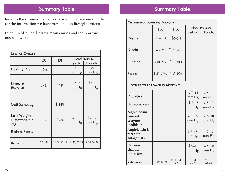### Summary Table

Refer to the summary table below as a quick reference guide for the information we have presented on lifestyle options.

In both tables, the  $\uparrow$  arrow means raises and the  $\downarrow$  arrow means lowers.

| <b>LIFESTYLE OPTIONS</b>                       |                 |                |                           |                           |
|------------------------------------------------|-----------------|----------------|---------------------------|---------------------------|
|                                                | <b>LDL</b>      | <b>HDL</b>     | <b>Blood Pressure</b>     |                           |
|                                                |                 |                | <b>Systolic</b>           | <b>Diastolic</b>          |
| <b>Healthy Diet</b>                            | $\downarrow$ 5% |                | $\downarrow$ 9<br>mm Hg   | $\downarrow$ 5<br>mm Hg   |
| <b>Increase</b><br><b>Exercise</b>             | $\downarrow$ 4% | $\uparrow$ 5%  | $\downarrow$ 5-7<br>mm Hg | $\downarrow$ 5-7<br>mm Hg |
| <b>Quit Smoking</b>                            |                 | $\uparrow$ 14% |                           |                           |
| <b>Lose Weight</b><br>10 pounds $(4.5)$<br>kg) | $\downarrow$ 3% | $\uparrow$ 4%  | $\sqrt{7-12}$<br>mm Hg    | $\sqrt{7-12}$<br>mm Hg    |
| <b>Reduce Stress</b>                           |                 |                |                           |                           |
| <b>References</b>                              | 7, 25, 28       | 25, 28, 40-42  | 8, 20, 26, 29             | 8, 20, 26, 29             |

| <b>CHOLESTEROL LOWERING MEDICINES</b>              |                     |                      |                            |                                       |
|----------------------------------------------------|---------------------|----------------------|----------------------------|---------------------------------------|
|                                                    | <b>LDL</b>          | <b>HDL</b>           | <b>Blood Pressure</b>      |                                       |
|                                                    |                     |                      | Systolic                   | <b>Diastolic</b>                      |
| <b>Resins</b>                                      | $\downarrow$ 15–25% | $10 - 5%$            |                            |                                       |
| <b>Niacin</b>                                      | $\downarrow$ 20%    | $\uparrow$ 20–40%    |                            |                                       |
| <b>Fibrates</b>                                    | $\downarrow$ 10–20% | $\uparrow$ 0-30%     |                            |                                       |
| <b>Statins</b>                                     | $\downarrow$ 20–50% | $\uparrow$ 5-10%     |                            |                                       |
| <b>BLOOD PRESSURE LOWERING MEDICINES</b>           |                     |                      |                            |                                       |
| <b>Diuretics</b>                                   |                     |                      | $\downarrow$ 7-15<br>mm Hg | $\overline{\downarrow}$ 5-10<br>mm Hg |
| <b>Beta-blockers</b>                               |                     |                      | $\sqrt{7-15}$<br>mm Hg     | $\downarrow$ 5-10<br>mm Hg            |
| Angiotensin-<br>converting<br>enzyme<br>inhibitors |                     |                      | $\downarrow$ 7-15<br>mm Hg | $\downarrow$ 5-10<br>mm Hg            |
| Angiotensin II-<br>receptor<br>antagonists         |                     |                      | $\downarrow$ 7-15<br>mm Hg | $\downarrow$ 5-10<br>mm Hg            |
| Calcium<br>channel<br>inhibitors                   |                     |                      | $\downarrow$ 7–15<br>mm Hg | $\downarrow$ 5–10<br>mm Hg            |
| References                                         | 47, 50-51, 53       | 45-47, 51,<br>53, 55 | $57 - 61,$<br>$63 - 65$    | $57 - 61,$<br>$63 - 65$               |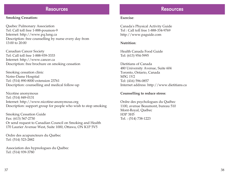#### **Resources**

#### **Smoking Cessation:**

Quebec Pulmonary Association Tel: Call toll free 1-888-poumon-9 Internet: http://www.pq.lung.ca Description: free counselling by nurse every day from 13:00 to 20:00

Canadian Cancer Society Tel: Call toll free 1-888-939-3333 Internet: http://www.cancer.ca Description: free brochure on smoking cessation

Smoking cessation clinic Notre-Dame Hospital Tel: (514) 890-8000 extension 23761 Description: counselling and medical follow-up

Nicotine anonymous Tel: (514) 849-0131 Internet: http://www.nicotine-anonymous.org Description: support group for people who wish to stop smoking

Smoking Cessation Guide Fax: (613) 567-2730 Or send request to Canadian Council on Smoking and Health 170 Laurier Avenue West, Suite 1000, Ottawa, ON K1P 5V5

Ordre des acupuncteurs du Québec Tel: (514) 523-2882

Association des hypnologues du Québec Tel: (514) 939-3780

#### Resources

#### **Exercise**:

Canada's Physical Activity Guide Tel : Call toll free 1-888-334-9769 http://www.paguide.com

#### **Nutrition**:

Health Canada Food Guide Tel: (613) 954-5995

Dietitians of Canada 480 University Avenue, Suite 604 Toronto, Ontario, Canada M5G 1V2 Tel: (416) 596-0857 Internet address: http://www.dietitians.ca

#### **Counselling to reduce stress**:

Ordre des psychologues du Québec 1100, avenue Beaumont, bureau 510 Mont-Royal, Québec H3P 3H5 Tel. : (514) 738-1223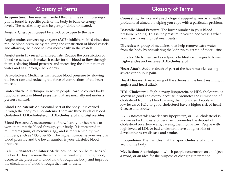#### Glossary of Terms

**Acupuncture:** Thin needles inserted through the skin into energy points found in specific parts of the body to balance energy levels. The needles may also be gently twirled or heated.

**Angina**: Chest pain caused by a lack of oxygen to the heart.

**Angiotensins-converting enzyme (ACE) inhibitors**: Medicines that reduce blood pressure by reducing the constriction of blood vessels and allowing the blood to flow more easily in the vessels.

**Angiotensin II - receptor antagonists**: Reduce the constriction of blood vessels, which makes it easier for the blood to flow through them, reducing **blood pressure** and increasing the elimination of water and salt through the kidneys.

**Beta-blockers**: Medicines that reduce blood pressure by slowing the heart rate and reducing the force of contractions of the heart muscle.

**Biofeedback**: A technique in which people learn to control body functions, such as **blood pressure**, that are normally not under a person's control.

**Blood Cholesterol**: An essential part of the body. It is carried through the body by **lipoproteins**. There are three kinds of blood cholesterol: **LDL-cholesterol, HDL-cholesterol** and **triglycerides**.

**Blood Pressure**: A measurement of how hard your heart has to work to pump the blood through your body. It is measured in millimetres (mm) of mercury (Hg), and is represented by two numbers, such as "135 over 85". The higher number is your **systolic** blood pressure and the lower number is your **diastolic** blood pressure.

**Calcium channel inhibitors**: Medicines that act on the muscles of the heart. They decrease the work of the heart in pumping blood, decrease the pressure of blood flow through the body and improve the circulation of blood through the heart muscle.

### Glossary of Terms

**Counseling**: Advice and psychological support given by a health professional aimed at helping you cope with a particular problem.

**Diastolic Blood Pressure**: The lower number in your **blood pressure** reading. This is the pressure in your blood vessels when your heart is resting (between beats).

**Diuretics**: A group of medicines that help remove extra water from the body by stimulating the kidneys to get rid of more urine.

**Fibrates**: Medicines used as adjuncts to lifestyle changes to lower **triglycerides** and increase **HDL-cholesterol**.

**Heart Attack**: Sudden death of part of the heart muscle causing severe continuous pain.

**Heart Disease**: A narrowing of the arteries in the heart resulting in **angina** and **heart attack**.

**HDL-Cholesterol:** High-density lipoprotein, or HDL-cholesterol is known as good cholesterol because it promotes the elimination of cholesterol from the blood causing them to widen. People with low levels of HDL or good cholesterol have a higher risk of **heart disease** and **stroke**.

**LDL-Cholesterol**: Low-density lipoprotein, or LDL-cholesterol is known as bad cholesterol because it promotes the deposit of cholesterol on artery walls, causing them to narrow. People with high levels of LDL or bad cholesterol have a higher risk of developing **heart disease** and **stroke**.

**Lipoproteins**: The particles that transport **cholesterol** and fat around the body.

**Meditation**: A technique in which people concentrate on an object, a word, or an idea for the purpose of changing their mood.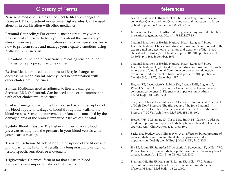### Glossary of Terms

**Niacin**: A medicine used as an adjunct to lifestyle changes to increase **HDL-cholesterol** or decrease **triglycerides**. Can be used alone or in combination with other medicines.

**Personal Counseling**: For example, meeting regularly with a professional counselor to help you talk about the causes of your stress, improve your communication skills to manage stress, learn how to problem-solve and manage your negative emotions using relaxation and exercise.

**Relaxation**: A method of consciously releasing tension in the muscles to help a person become calmer.

**Resins**: Medicines used as adjuncts to lifestyle changes to decrease **LDL-cholesterol**. Mostly used in combination with other **cholesterol** medicines.

**Statins**: Medicines used as adjuncts to lifestyle changes to decrease **LDL-cholesterol**. Can be used alone or in combination with other **cholesterol** medicines.

**Stroke**: Damage to part of the brain caused by an interruption of the blood supply or leakage of blood through the walls of the blood vessels. Sensation, movement, or function controlled by the damaged area of the brain is impaired. Strokes can be fatal.

**Systolic Blood Pressure**: The higher number in your **blood pressure** reading. It is the pressure in your blood vessels when your heart is beating.

**Transient Ischemic Attack**: A brief interruption of the blood supply to part of the brain that results in a temporary impairment of vision, speech, sensation, or movement.

**Triglycerides**: Chemical form of fat that exists in blood. Represents very important stock of fatty acids.

- 1. Nicod P, Gilpin E, Dittrich H, et al. Short- and long-term clinical outcome after Q wave and non-Q wave myocardial infarction in a large patient population. Circulation 1989;79:528-36.
- 2. Karlson BW, Herlitz J, Hartford M. Prognosis in myocardial infarction in relation to gender. Am Heart J 1994;128:477-83
- 3. National Institutes of Health. National Heart, Lung, and Blood Institute. National Cholesterol Education program. Second report of the expert panel on detection, evaluation, and treatment of high blood cholesterol in adults (Adult treatment panel II). NIH publication No. 93-3095, p. 1-166, September, 1993.
- 4. National Institutes of Health. National Heart, Lung, and Blood Institute, National High Blood Pressure Education Program. The sixth report of the Joint National Committee on prevention, detection, evaluation, and treatment of high blood pressure. NIH publication. No. 98-4080, p. 1-70, November 1997.
- 5. Haynes RB, Lacourcière Y, Rabkin SW, Leenen FHH, Logan AG, Wright N, Evans CE. Report of the Canadian hypertension society consensus conference: 2. Diagnosis of hypertension in adults. CMAJ 149[4], 409-418. 1993.
- 6. The Joint National Committee on Detection Evaluation and Treatment of High Blood Pressure. The fifth report of the Joint National Committee on Detection, Evaluation, and Treatment of High Blood Pressure (JNC V). Arch Intern Med 153, 154-183. 1993.
- 7. Howell WH, McNamara DJ, Tosca MA, Smith BT, Gaines JA. Plasma lipid and lipoprotein responses to dietary fat and cholesterol: a metaanalysis. Am J Clin Nutr 65, 1747-1764. 1997.
- 8. Sacks FM, Svetkey LP, Vollmer WM, et al. Effects on blood pressure of reduced dietary sodium and the dietary approaches to stop hypertension (DASH) diet. N Engl J Med 344[1], 3-10. 2001.
- 9. Hu FB, Rimm EB, Stampfer MJ, Ascherio A, Spiegelman D, Willett WC. Prospective study of major dietary patterns and risk of coronary heart disease in men. Am J Clin Nutr 72, 912-921. 2000.
- 10. Stampfer MJ, Hu FB, Manson JE, Rimm EB, Willett WC. Primary prevention of coronary heart disease in women through diet and lifestyle. N Engl J Med 343[1], 16-22. 2000. <sup>42</sup>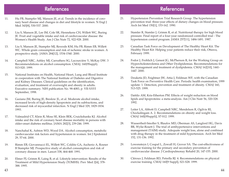#### References

- 11. Hu FB, Stampfer MJ, Manson JE, et al. Trends in the incidence of coronary heart disease and changes in diet and lifestyle in women. N Engl J Med 343[8], 530-537. 2000.
- 12. Liu S, Manson JE, Lee IM, Cole SR, Hennekens CH, Willett WC, Buring JE. Fruit and vegetable intake and risk of cardiovascular disease: the Women's Health Study. Am J Clin Nutr 72, 922-928. 2000.
- 13. Liu S, Manson JE, Stampfer MJ, Rexrode KM, Hu FB, Rimm EB, Willett WC. Whole grain consumption and risk of ischemic stroke in women. A prospective study. JAMA 284[12], 1534-1540. 2000.
- 14. Campbell NRC, Ashley MJ, Carruthers SG, Lacourcière Y, McKay DW. 3 Recommendations on alcohol consumption. CMAJ; 160(9Suppl); S13-S20. 1999.
- 15. National Institutes on Health, National Heart, Lung and Blood Institute in cooperation with The National Institute of Diabetes and Digestive and Kidney Diseases. Clinical guidelines on the identification, evaluation, and treatment of overweight and obesity in adults. Executive summary. NIH publication No. 98-4083, p. VII-XXVI September, 1998.
- 16. Gaziano JM, Buring JE, Breslow JL, et al. Moderate alcohol intake, increased levels of high-density lipoprotein and its subfractions, and decreased risk of myocardial infarction. N Engl J Med 329, 1829-1834. 1993.
- 17. Valmadrid CT, Klein R, Moss SE, Klein BEK, Cruickshanks KJ. Alcohol intake and the risk of coronary heart disease mortality in persons with older-onset diabetes mellitus. JAMA 282[3], 239-246. 1999.
- 18. Nanchahal K, Ashton WD, Wood DA. Alcohol consumption, metabolic cardiovascular risk factors and hypertension in women. Int J Epidemiol 29, 57-64. 2000.
- 19. Rimm EB, Giovannucci EL, Willett WC, Colditz GA, Ascherio A, Rosner B Stampfer MJ. Prospective study of alcohol consumption and risk of coronary disease in men. Lancet 338, 464-468. 1991.
- 20. Elmer PJ, Grimm R, Laing B, et al. Lifestyle intervention: Results of the Treatment of Mild Hypertension Study (TOMHS). Prev Med 2[4], 378- 388. 1995.

- 21. Hypertension Prevention Trial Research Group. The hypertension prevention trial: three-year effects of dietary changes on blood pressure. Arch Int Med 150[1], 153-162. 1990.
- 22. Stamler R, Stamler J, Grimm R, et al. Nutritional therapy for high blood pressure. Final report of a four-year randomized controlled trial - The hypertension control program. JAMA 257[11], 1484-1491. 1987.
- 23. Canadian Task Force on Development of The Healthy Heart Kit. The Healthy Heart Kit: Helping your patients reduce their risk, Ottawa, February 1999.
- 24. Fodor J, Frohlich J, Genest JG, McPherson R, for the Working Group on Hypercholesterolemia and Other Dyslipidemias. Recommendations for the management and treatment of dyslipidemia. CMAJ 162[10], 1441- 1447. 2000.
- 25. Douketis JD, Feightner JW, Attia J, Feldman WF, with the Canadian Task Force on Preventive Health Care. Periodic health examination, 1999 update: 1. Detection, prevention and treatment of obesity. CMAJ 160, 513-525. 1999.
- 26. Dattilo AM, Kris-Etherton PM. Effects of weight reduction on blood lipids and lipoproteins: a meta-analysis. Am J Clin Nutr 56, 320-328. 1992.
- 27. Leiter LA, Abbott D, Campbell NRC, Mendelson R, Ogilvie RI, Chockalingam A. 2. Recommendations on obesity and weight loss. CMAJ 160[(9Suppl)], S7-S12. 1999.
- 28. Wassertheil-Smoller S, Blaufox MD, Oberman AS, Langford HG, Davis BR, Wylie-Rosett J. The trial of antihypertensive interventions and management (TAIM) study. Adequate weight loss, alone and combined with drug therapy in the treatment of mild hypertension. Arch Int Med 152, 131-136. 1992.
- 29. Lowensteyn I, Coupal L, Zowall H, Grover SA. The cost-effectiveness of exercise training for the primary and secondary prevention of cardiovascular disease. J Cardiopulmonay Rehabil 20, 147-155. 2000.
- 30. Cléroux J, Feldman RD, Petrella RJ. 4. Recommendations on physical exercise training. CMAJ 160[9 Suppl], S21-S28. 1999.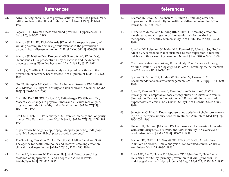### References

- 31. Arroll B, Beaglehole R. Does physical activity lower blood pressure: A critical review of the clinical trials. J Clin Epidemiol 45[5], 439-447. 1992.
- 32. Fagard RH. Physical fitness and blood pressure. J Hypertension 11 (suppl 5), S47-S52. 1993.
- 33. Manson JE, Hu FB, Rich-Edwards JW, et al. A prospective study of walking as compared with vigorous exercise in the prevention of coronary heart disease in women. N Engl J Med 341[9], 650-658. 1999.
- 34. Manson JE, Nathan DM, Krolewski AS, Stampfer MJ, Willett WC, Hennekens CH. A prospective study of exercise and incidence of diabetes among US male physicians. JAMA 268[1], 63-67. 1992.
- 35. Berlin JA, Colditz GA. A meta-analysis of physical activity in the prevention of coronary heart disease. Am J Epidemiol 132[4], 612-628. 1990.
- 36. Hu FB, Stampfer MJ, Colditz GA, Ascherio A, Rexrode KM, Willett WC, Manson JE. Physical activity and risk of stroke in women. JAMA 283[22], 2961-2967. 2000.
- 37. Blair SN, Kohl III HW, Barlow CE, Paffenbarger RS, Gibbons LW, Macera CA. Changes in physical fitness and all-cause mortality. A prospective study of healthy and unhealthy men. JAMA 273[14], 1093-1098. 1995.
- 38. Lee I-M, Hsieh C-C, Paffenbarger RS. Exercise intensity and longevity in men. The Harvard Alumni Health Study. JAMA 273[15], 1179-1184. 1995.
- 39. http://www.hc-sc.gc.ca/hppb/paguide/pdf/guideEngl.pdf (page says "No Longer Available" please provide reference)
- 40. The Smoking Cessation Clinical Practice Guideline Panel and Staff. The agency for health care policy and research smoking cessation clinical practice guideline. JAMA 275[16], 1270-1280. 1996.
- 41. Richard F, Marécaux N, Dallongeville J, et al. Effect of smoking cessation on lipoprotein A-I and lipoprotein A-I:A-II levels. Metabolism 46[6], 711-715. 1997.

- 42. Eliasson B, Attvall S, Taskinen M-R, Smith U. Smoking cessation improves insulin sensitivity in healthy middle-aged men. Eur J Clin Invest 27, 450-456. 1997.
- 43. Burnette MM, Meilahn E, Wing RR, Kuller LH. Smoking cessation, weight gain, and changes in cardiovascular risk factors during menopause: The healthy women study. Am J Pub Health 88[1], 93-96. 1998.
- 44. Jorenby DE, Leischow SJ, Nides MA, Rennard SI, Johnston JA, Hughes AR et al. A controlled trial of sustained-release bupropion, a nicotine patch, or both for smoking cessation. N Engl J Med 340, 685-691. 1999.
- 45. Cochrane review on smoking. From: Sigaly: The Cochrance Library, Volume (Issue 4), 2000. Copyright 2000 Ovid Technologies, Inc. Version rel4.2.0, Source ID: 1.4668.1.261.
- 46. Spence JD, Barnett PA, Linden W, Ramsden V, Taenzer P. 7. Recommendations on stress management. CMAJ 160[(9 Suppl)], S46-S50. 1999.
- 47. Jones P, Kafonek S, Laurora I, Hunninghake D, for the CURVES Investigators. Comparative dose efficacy study of Atorvastatin versus Simvastatin, Pravastatin, Lovastatin, and Fluvastatin in patients with hypercholesterolemia (The CURVES Study). Am J Cardiol 81, 582-587. 1998.
- 48. Schectman G, Hiatt J. Dose-response characteristics of cholesterol-lowering drug therapies: implications for treatment. Ann Intern Med 125[12], 990-1000. 1996.
- 49. Hebert PR, Gaziano JM, Chan KS, Hennekens CH. Cholesterol lowering with statin drugs, risk of stroke, and total mortality. An overview of randomized trials. JAMA 278[4], 313-321. 1997.
- 50. Bucher HC, Griffith LE, Guyatt GH. Effect of HMGcoA reductase inhibitors on stroke. A meta-analysis of randomized, controlled trials. Ann Intern Med 128, 89-95. 1998.
- 51. Frick MH, Elo O, Haapa K, Heinonen OP, Heinsalmi P, Helo P et al. Helsinky Heart Study: primary-prevention trial with gemfibrozil in middle-aged men with dyslipidemia. N Engl J Med 317, 1237-1245. 1987.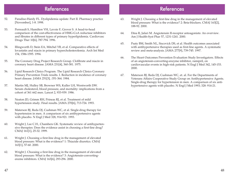#### **References**

- 52. Paradiso-Hardy FL. Dyslipidemia update: Part II. Pharmacy practice [November], 1-8. 1998.
- 53. Perreault S, Hamilton VH, Lavoie F, Grover S. A head-to-head comparison of the cost-effectiveness of HMG-CoA reductase inhibitors and fibrates in different types of primary hyperlipidemia. Cardiovasc Drugs Ther 10[6], 787-794. 1996.
- 54. Illingworth D, Stein EA, Mitchel YB, et al. Comparative effects of lovastatin and niacin in primary hypercholesterolemia. Arch Int Med 154, 1586-1595. 1994.
- 55. The Coronary Drug Project Research Group. Clofibrate and niacin in coronary heart disease. JAMA 231[4], 360-381. 1975.
- 56. Lipid Research Clinics Program. The Lipid Research Clinics Coronary Primary Prevention Trials results. I. Reduction in incidence of coronary heart disease. JAMA 251[3], :351-364. 1984.
- 57. Martin MJ, Hulley SB, Browner WS, Kuller LH, Wentworth DW. Serum cholesterol, blood pressure, and mortality: implications from a cohort of 361 662 men. Lancet 2, 933-939. 1986.
- 58. Neaton JD, Grimm RH, Prineas RJ, et al. Treatment of mild hypertension study. Final results. JAMA 270[6], 713-724. 1993.
- 59. Materson BJ, Reda DJ, Cushman WC, et al. Single-drug therapy for hypertension in men. A comparison of six antihypertensive agents with placebo. N Engl J Med 328, 914-921. 1993.
- 60. Wright J, Lee C.H., Chambers GK. Systematic review of antihypertensive therapies: Does the evidence assist in choosing a first-line drug? CMAJ 161[1], 25-32. 1999.
- 61. Wright J. Choosing a first-line drug in the management of elevated blood pressure: What is the evidence? 1: Thiazide diuretics. CMAJ 163[1], 57-60. 2000.
- 62. Wright J. Choosing a first-line drug in the management of elevated blood pressure: What is the evidence? 3: Angiotensin-convertingenzme inhibitors. CMAJ 163[6], 293-296. 2000.

- 63. Wright J. Choosing a first-line drug in the management of elevated blood pressure: What is the evidence? 2: Beta-blockers. CMAJ 163[2], 188-92. 2000.
- 64. Dina R, Jafari M. Angiotensin II-receptor antoagonists: An overview. Am J Health-Syst Phar 57, 1231-1241. 2000.
- 65. Psaty BM, Smith NL, Siscovick DS, et al. Health outcomes associated with antihypertensive therapies used as first-line agents. A systematic review and meta-analysis. JAMA 277[9], 739-745. 1997.
- 66. The Heart Outcomes Prevention Evaluation Study Investigators. Effects of an angiotensin-converting-enzyme inhibitor, ramipril, on cardiovascular events in high-risk patients. N Engl J Med 342, 145-153. 2000.
- 67. Materson BJ, Reda DJ, Cushman WC, et. al. For the Departments of Veterans Affairs Cooperative Study Group on Antihypertensive Agents. Single-drug therapy for hypertension in men. A comparison of six antihypertensive agents with placebo. N Engl J Med 1993; 328: 914-21.